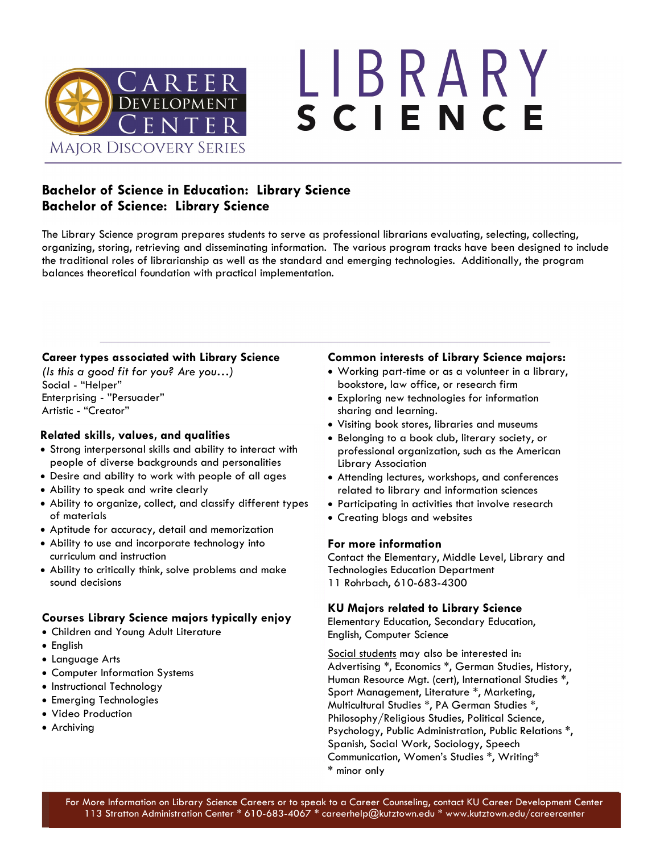

# LIBRARY SCIENCE

### **Bachelor of Science in Education: Library Science Bachelor of Science: Library Science**

The Library Science program prepares students to serve as professional librarians evaluating, selecting, collecting, organizing, storing, retrieving and disseminating information. The various program tracks have been designed to include the traditional roles of librarianship as well as the standard and emerging technologies. Additionally, the program balances theoretical foundation with practical implementation.

### **Career types associated with Library Science**

*(Is this a good fit for you? Are you…)* Social - "Helper" Enterprising - "Persuader" Artistic - "Creator"

### **Related skills, values, and qualities**

- Strong interpersonal skills and ability to interact with people of diverse backgrounds and personalities
- Desire and ability to work with people of all ages
- Ability to speak and write clearly
- Ability to organize, collect, and classify different types of materials
- Aptitude for accuracy, detail and memorization
- Ability to use and incorporate technology into curriculum and instruction
- Ability to critically think, solve problems and make sound decisions

### **Courses Library Science majors typically enjoy**

- Children and Young Adult Literature
- English
- Language Arts
- Computer Information Systems
- Instructional Technology
- Emerging Technologies
- Video Production
- Archiving

### **Common interests of Library Science majors:**

- Working part-time or as a volunteer in a library, bookstore, law office, or research firm
- Exploring new technologies for information sharing and learning.
- Visiting book stores, libraries and museums
- Belonging to a book club, literary society, or professional organization, such as the American Library Association
- Attending lectures, workshops, and conferences related to library and information sciences
- Participating in activities that involve research
- Creating blogs and websites

### **For more information**

Contact the Elementary, Middle Level, Library and Technologies Education Department 11 Rohrbach, 610-683-4300

### **KU Majors related to Library Science**

Elementary Education, Secondary Education, English, Computer Science

Social students may also be interested in: Advertising \*, Economics \*, German Studies, History, Human Resource Mgt. (cert), International Studies \*, Sport Management, Literature \*, Marketing, Multicultural Studies \*, PA German Studies \*, Philosophy/Religious Studies, Political Science, Psychology, Public Administration, Public Relations \*, Spanish, Social Work, Sociology, Speech Communication, Women's Studies \*, Writing\* \* minor only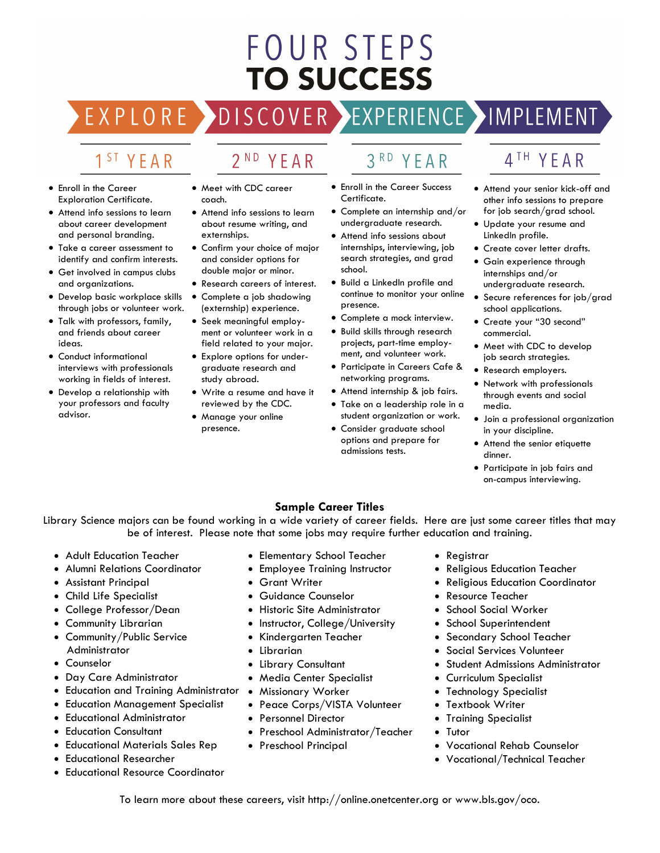# FOUR STEPS **TO SUCCESS**

EXPLORE >DISCOVER >EXPERIENCE >IMPLEMENT

2<sup>ND</sup> YEAR

# 1<sup>ST</sup> YEAR

- Enroll in the Career Exploration Certificate.
- Attend info sessions to learn about career development and personal branding.
- Take a career assessment to identify and confirm interests.
- Get involved in campus clubs and organizations.
- Develop basic workplace skills through jobs or volunteer work.
- Talk with professors, family, and friends about career ideas.
- Conduct informational interviews with professionals working in fields of interest.
- Develop a relationship with your professors and faculty advisor.
- Meet with CDC career
- Attend info sessions to learn about resume writing, and externships.

coach.

- Confirm your choice of major and consider options for double major or minor.
- Research careers of interest.
- Complete a job shadowing (externship) experience.
- Seek meaningful employment or volunteer work in a field related to your major.
- Explore options for undergraduate research and study abroad.
- Write a resume and have it reviewed by the CDC.
- Manage your online presence.
- $3<sup>RD</sup>$ YFAR
- Enroll in the Career Success Certificate.
- Complete an internship and/or undergraduate research.
- Attend info sessions about internships, interviewing, job search strategies, and grad school.
- Build a LinkedIn profile and continue to monitor your online presence.
- Complete a mock interview.
- Build skills through research projects, part-time employment, and volunteer work.
- Participate in Careers Cafe & networking programs.
- Attend internship & job fairs.
- Take on a leadership role in a student organization or work.
- Consider graduate school options and prepare for admissions tests.

# 4TH YEAR

- Attend your senior kick-off and other info sessions to prepare for job search/grad school.
- Update your resume and LinkedIn profile.
- Create cover letter drafts.
- Gain experience through
- internships and/or undergraduate research.
- Secure references for job/grad school applications.
- Create your "30 second" commercial.
- Meet with CDC to develop job search strategies.
- Research employers.
- Network with professionals through events and social media.
- Join a professional organization in your discipline.
- Attend the senior etiquette dinner.
- Participate in job fairs and on-campus interviewing.

### **Sample Career Titles**

Library Science majors can be found working in a wide variety of career fields. Here are just some career titles that may be of interest. Please note that some jobs may require further education and training.

- Adult Education Teacher
- Alumni Relations Coordinator
- Assistant Principal
- Child Life Specialist
- College Professor/Dean
- Community Librarian
- Community/Public Service Administrator
- Counselor
- Day Care Administrator
- Education and Training Administrator Missionary Worker
- Education Management Specialist
- Educational Administrator
- Education Consultant
- Educational Materials Sales Rep
- Educational Researcher
- Educational Resource Coordinator
- Elementary School Teacher
- Employee Training Instructor
- Grant Writer
- Guidance Counselor
- Historic Site Administrator
- Instructor, College/University
- Kindergarten Teacher
- Librarian
- Library Consultant
- Media Center Specialist
- 
- Peace Corps/VISTA Volunteer
- Personnel Director
- Preschool Administrator/Teacher
- Preschool Principal
- Registrar
- Religious Education Teacher
- Religious Education Coordinator
- Resource Teacher
- School Social Worker
- School Superintendent
- Secondary School Teacher
- Social Services Volunteer
- Student Admissions Administrator
- Curriculum Specialist
- Technology Specialist
- Textbook Writer
- Training Specialist
- Tutor
- Vocational Rehab Counselor
- Vocational/Technical Teacher

To learn more about these careers, visit http://online.onetcenter.org or www.bls.gov/oco.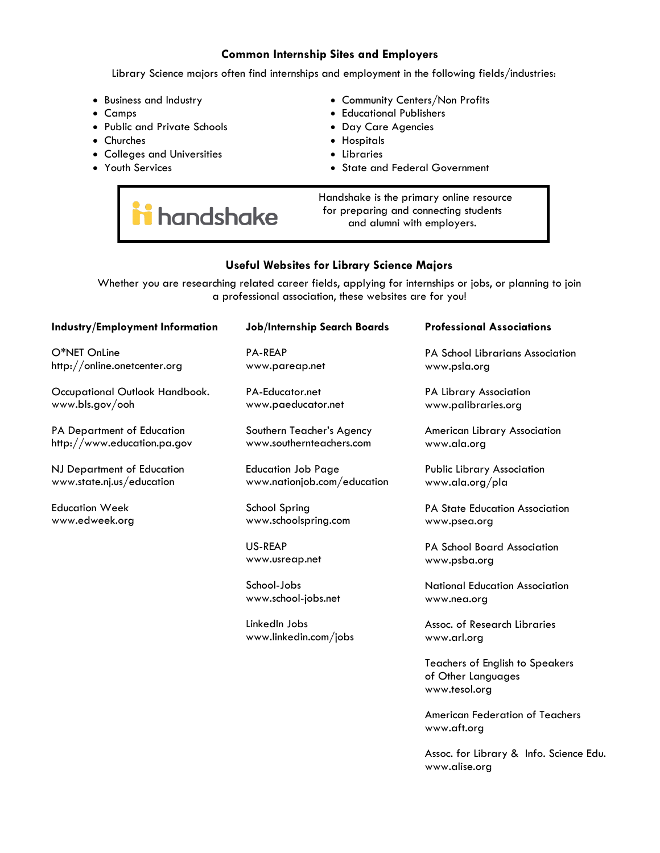#### **Common Internship Sites and Employers**

Library Science majors often find internships and employment in the following fields/industries:

- Business and Industry
- Camps
- Public and Private Schools
- Churches
- Colleges and Universities

i handshake

• Youth Services

- Community Centers/Non Profits
- Educational Publishers
- Day Care Agencies
- Hospitals
- Libraries
- State and Federal Government

 Handshake is the primary online resource for preparing and connecting students and alumni with employers.

### **Useful Websites for Library Science Majors**

Whether you are researching related career fields, applying for internships or jobs, or planning to join a professional association, these websites are for you!

| <b>Industry/Employment Information</b> | <b>Job/Internship Search Boards</b>    | <b>Professional Associations</b>              |
|----------------------------------------|----------------------------------------|-----------------------------------------------|
| O*NET OnLine                           | <b>PA-REAP</b>                         | <b>PA School Librarians Association</b>       |
| http://online.onetcenter.org           | www.pareap.net                         | www.psla.org                                  |
| Occupational Outlook Handbook.         | PA-Educator.net                        | PA Library Association                        |
| www.bls.gov/ooh                        | www.paeducator.net                     | www.palibraries.org                           |
| PA Department of Education             | Southern Teacher's Agency              | American Library Association                  |
| http://www.education.pa.gov            | www.southernteachers.com               | www.ala.org                                   |
| NJ Department of Education             | <b>Education Job Page</b>              | <b>Public Library Association</b>             |
| www.state.nj.us/education              | www.nationjob.com/education            | www.ala.org/pla                               |
| <b>Education Week</b>                  | School Spring                          | PA State Education Association                |
| www.edweek.org                         | www.schoolspring.com                   | www.psea.org                                  |
|                                        | US-REAP<br>www.usreap.net              | PA School Board Association<br>www.psba.org   |
|                                        | School-Jobs<br>www.school-jobs.net     | National Education Association<br>www.nea.org |
|                                        | LinkedIn Jobs<br>www.linkedin.com/jobs | Assoc. of Research Libraries<br>www.arl.org   |

Teachers of English to Speakers of Other Languages www.tesol.org

American Federation of Teachers www.aft.org

Assoc. for Library & Info. Science Edu. www.alise.org